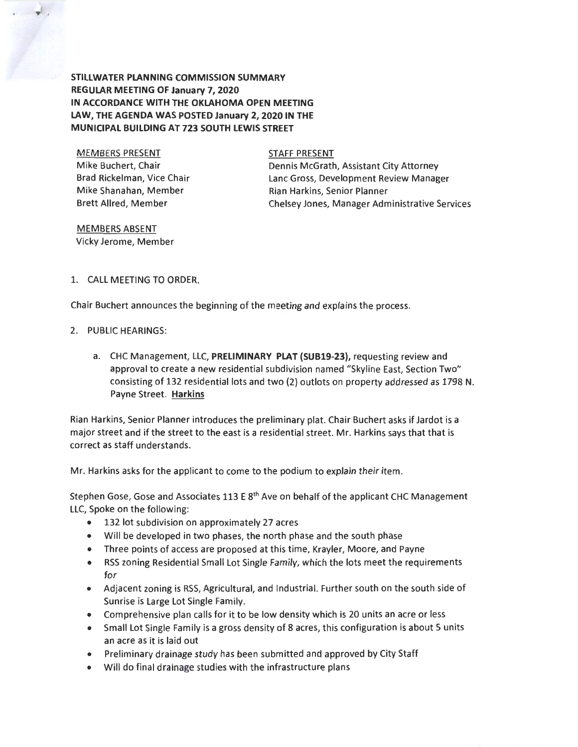**STILLWATER PLANNING COMMISSION SUMMARY REGULAR MEETING OF January 7, 2020 IN ACCORDANCE WITH THE OKLAHOMA OPEN MEETING LAW, THE AGENDA WAS POSTED January 2, 2020 IN THE MUNICIPAL BUILDING AT 723 SOUTH LEWIS STREET** 

MEMBERS PRESENT Mike Buchert, Chair Brad Rickelman, Vice Chair Mike Shanahan, Member Brett Allred, Member

**'9** '

STAFF PRESENT

Dennis McGrath, Assistant City Attorney Lane Gross, Development Review Manager Rian Harkins, Senior Planner Chelsey Jones, Manager Administrative Services

MEMBERS ABSENT Vicky Jerome, Member

## 1. CALL MEETING TO ORDER.

Chair Buchert announces the beginning of the meeting and explains the process.

#### 2. PUBLIC HEARINGS:

a. CHC Management, LLC, **PRELIMINARY PLAT (SUB19-23),** requesting review and approval to create a new residential subdivision named "Skyline East, Section Two" consisting of 132 residential lots and two (2) outlots on property addressed as 1798 N. Payne Street. **Harkins** 

Rian Harkins, Senior Planner introduces the preliminary plat. Chair Buchert asks if Jardot is a major street and if the street to the east is a residential street. Mr. Harkins says that that is correct as staff understands.

Mr. Harkins asks for the applicant to come to the podium to explain their item.

Stephen Gose, Gose and Associates 113 E 8<sup>th</sup> Ave on behalf of the applicant CHC Management LLC, Spoke on the following:

- 132 lot subdivision on approximately 27 acres
- Will be developed in two phases, the north phase and the south phase
- Three points of access are proposed at this time, Krayler, Moore, and Payne
- RSS zoning Residential Small Lot Single Family, which the lots meet the requirements for
- Adjacent zoning is RSS, Agricultural, and Industrial. Further south on the south side of Sunrise is Large Lot Single Family.
- Comprehensive plan calls for it to be low density which is 20 units an acre or less
- Small Lot Single Family is a gross density of 8 acres, this configuration is about 5 units an acre as it is laid out
- Preliminary drainage study has been submitted and approved by City Staff
- Will do final crainage studies with the infrastructure plans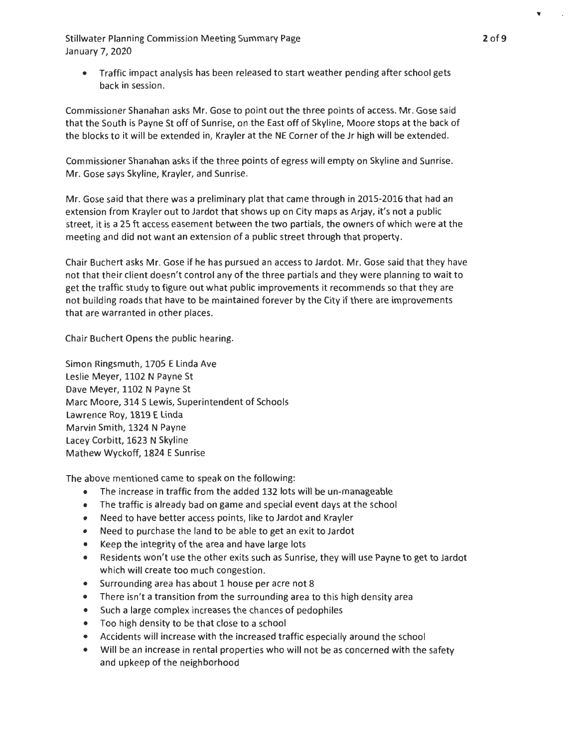• Traffic impact analysis has been released to start weather pending after school gets back in session.

Commissioner Shanahan asks Mr. Gose to point out the three points of access. Mr. Gose said that the South is Payne St off of Sunrise, on the East off of Skyline, Moore stops at the back of the blocks to it will be extended in, Krayler at the NE Corner of the Jr high will be extended.

Commissioner Shanahan asks if the three points of egress will empty on Skyline and Sunrise. Mr. Gose says Skyline, Krayler, and Sunrise.

Mr. Gose said that there was a preliminary plat that came through in 2015-2016 that had an extension from Krayler out to Jardot that shows up on City maps as Arjay, it's not a public street, it is a 25 ft access easement between the two partials, the owners of which were at the meeting and did not want an extension of a public street through that property.

Chair Buchert asks Mr. Gose if he has pursued an access to Jardot. Mr. Gose said that they have not that their client doesn't control any of the three partials and they were planning to wait to get the traffic study to figure out what public improvements it recommends so that they are not building roads that have to be maintained forever by the City if there are improvements that are warranted in other places.

Chair Buchert Opens the public hearing.

Simon Ringsmuth, 1705 E Linda Ave Leslie Meyer, 1102 N Payne St Dave Meyer, 1102 N Payne St Marc Moore, 314 S Lewis, Superintendent of Schools Lawrence Roy, 1819 E Linda Marvin Smith, 1324 N Payne Lacey Corbitt, 1623 N Skyline Mathew Wyckoff, 1824 E Sunrise

The above mentioned came to speak on the following:

- The increase in traffic from the added 132 lots will be un-manageable
- The traffic is already bad on game and special event days at the school
- Need to have better access points, like to Jardot and Krayler
- Need to purchase the land to be able to get an exit to Jardot
- Keep the integrity of the area and have large lots
- Residents won't use the other exits such as Sunrise, they will use Payne to get to Jardot which will create too much congestion.
- Surrounding area has about 1 house per acre not 8
- There isn't a transition from the surrounding area to this high density area
- Such a large complex increases the chances of pedophiles
- Too high density to be that close to a school
- Accidents will increase with the increased traffic especially around the school
- Will be an increase in rental properties who will not be as concerned with the safety and upkeep of the neighborhood

 $\bullet$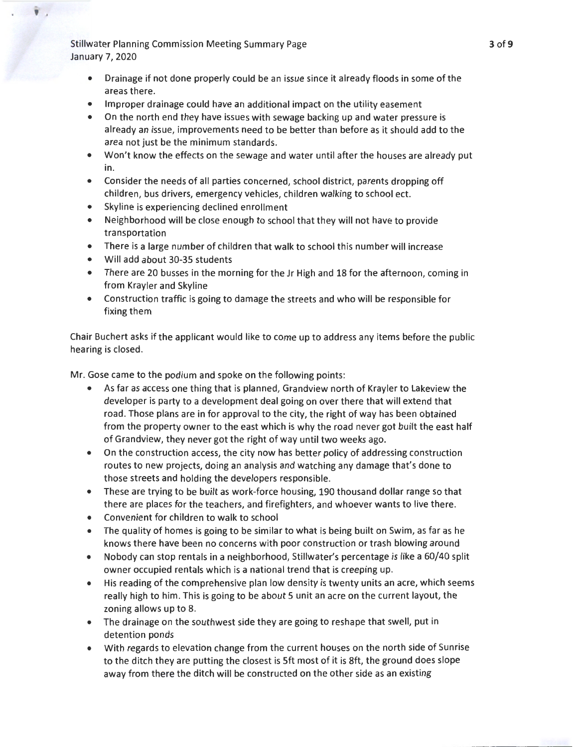' .

- Drainage if not done properly could be an issue since it already floods in some of the areas there.
- Improper drainage could have an additional impact on the utility easement
- On the north end they have issues with sewage backing up and water pressure is already an issue, improvements need to be better than before as it should add to the area not just be the minimum standards.
- Won't know the effects on the sewage and water until after the houses are already put in.
- Consider the needs of all parties concerned, school district, parents dropping off children, bus drivers, emergency vehicles, children walking to school ect.
- Skyline is experiencing declined enrollment
- Neighborhood will be close enough to school that they will not have to provide transportation
- There is a large number of children that walk to school this number will increase
- Will add about 30-35 students
- There are 20 busses in the morning for the Jr High and 18 for the afternoon, coming in from Krayler and Skyline
- Construction traffic is going to damage the streets and who will be responsible for fixing them

Chair Buchert asks if the applicant would like to come up to address any items before the public hearing is closed.

Mr. Gose came to the podium and spoke on the following points:

- As far as access one thing that is planned, Grandview north of Krayler to Lakeview the developer is party to a development deal going on over there that will extend that road. Those plans are in for approval to the city, the right of way has been obtained from the property owner to the east which is why the road never got built the east half of Grandview, they never got the right of way until two weeks ago.
- On the construction access, the city now has better policy of addressing construction routes to new projects, doing an analysis and watching any damage that's done to those streets and holding the developers responsible.
- These are trying to be built as work-force housing, 190 thousand dollar range so that there are places for the teachers, and firefighters, and whoever wants to live there.
- Convenient for children to walk to school
- The quality of homes is going to be similar to what is being built on Swim, as far as he knows there have been no concerns with poor construction or trash blowing around
- Nobody can stop rentals in a neighborhood, Stillwater's percentage is like a 60/40 split owner occupied rentals which is a national trend that is creeping up.
- His reading of the comprehensive plan low density is twenty units an acre, which seems really high to him. This is going to be about 5 unit an acre on the current layout, the zoning allows up to 8.
- The drainage on the southwest side they are going to reshape that swell, put in detention ponds
- With regards to elevation change from the current houses on the north side of Sunrise to the ditch they are putting the closest is Sft most of it is 8ft, the ground does slope away from there the ditch will be constructed on the other side as an existing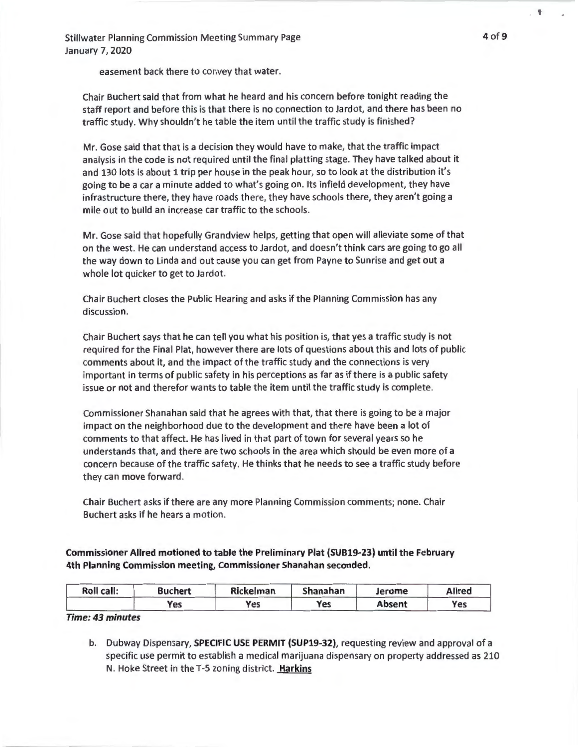easement back there to convey that water.

Chair Buchert said that from what he heard and his concern before tonight reading the staff report and before this is that there is no connection to Jardot, and there has been no traffic study. Why shouldn't he table the item until the traffic study is finished?

Mr. Gose said that that is a decision they would have to make, that the traffic impact analysis in the code is not required until the final platting stage. They have talked about it and 130 lots is about 1 trip per house in the peak hour, so to look at the distribution it's going to be a car a minute added to what's going on. Its infield development, they have infrastructure there, they have roads there, they have schools there, they aren't going a mile out to build an increase car traffic to the schools.

Mr. Gose said that hopefully Grandview helps, getting that open will alleviate some of that on the west. He can understand access to Jardot, and doesn't think cars are going to go all the way down to Linda and out cause you can get from Payne to Sunrise and get out a whole lot quicker to get to Jardot.

Chair Buchert closes the Public Hearing and asks if the Planning Commission has any discussion.

Chair Buchert says that he can tell you what his position is, that yes a traffic study is not required for the Final Plat, however there are lots of questions about this and lots of public comments about it, and the impact of the traffic study and the connections is very important in terms of public safety in his perceptions as far as if there is a public safety issue or not and therefor wants to table the item until the traffic study is complete.

Commissioner Shanahan said that he agrees with that, that there is going to be a major impact on the neighborhood due to the development and there have been a lot of comments to that affect. He has lived in that part of town for several years so he understands that, and there are two schools in the area which should be even more of a concern because of the traffic safety. He thinks that he needs to see a traffic study before they can move forward.

Chair Buchert asks if there are any more Planning Commission comments; none. Chair Buchert asks if he hears a motion.

Commissioner Allred motioned to table the Preliminary Plat (SUB19-23) until the February 4th Planning Commission meeting, Commissioner Shanahan seconded.

| Roll call: | <b>Buchert</b> | Rickelman | Shanahan | Jerome        | <b>Allred</b> |
|------------|----------------|-----------|----------|---------------|---------------|
|            | <b>Yes</b>     | Yes       | Yes      | <b>Absent</b> | Yes           |

#### *Time: 43 minutes*

b. Dubway Dispensary, **SPECIFIC USE PERMIT (SUP19-32)**, requesting review and approval of a specific use permit to establish a medical marijuana dispensary on property addressed as 210 N. Hoke Street in the T-5 zoning district. Harkins

. ▼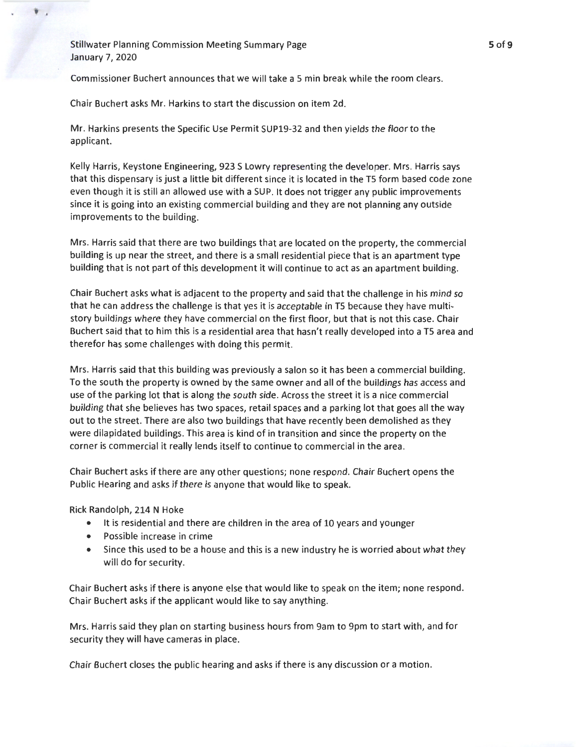' .

Commissioner Buchert announces that we will take a S min break while the room clears.

Chair Buchert asks Mr. Harkins to start the discussion on item 2d.

Mr. Harkins presents the Specific Use Permit SUP19-32 and then yields the floor to the applicant.

Kelly Harris, Keystone Engineering, 923 S Lowry representing the developer. Mrs. Harris says that this dispensary is just a little bit different since it is located in the TS form based code zone even though it is still an allowed use with a SUP. It does not trigger any public improvements since it is going into an existing commercial building and they are not planning any outside improvements to the building.

Mrs. Harris said that there are two buildings that are located on the property, the commercial building is up near the street, and there is a small residential piece that is an apartment type building that is not part of this development it will continue to act as an apartment building.

Chair Buchert asks what is adjacent to the property and said that the challenge in his mind so that he can address the challenge is that yes it is acceptable in TS because they have multistory buildings where they have commercial on the first floor, but that is not this case. Chair Buchert said that to him this is a residential area that hasn't really developed into a TS area and therefor has some challenges with doing this permit.

Mrs. Harris said that this building was previously a salon so it has been a commercial building. To the south the property is owned by the same owner and all of the buildings has access and use of the parking lot that is along the south side. Across the street it is a nice commercial building that she believes has two spaces, retail spaces and a parking lot that goes all the way out to the street. There are also two buildings that have recently been demolished as they were dilapidated buildings. This area is kind of in transition and since the property on the corner is commercial it really lends itself to continue to commercial in the area.

Chair Buchert asks if there are any other questions; none respond . Chair Buchert opens the Public Hearing and asks if there is anyone that would like to speak.

Rick Randolph, 214 N Hoke

- It is residential and there are children in the area of 10 years and younger
- Possible increase in crime
- Since this used to be a house and this is a new industry he is worried about what they will do for security.

Chair Buchert asks if there is anyone else that would like to speak on the item; none respond. Chair Buchert asks if the applicant would like to say anything.

Mrs. Harris said they plan on starting business hours from 9am to 9pm to start with, and for security they will have cameras in place.

Chair Buchert closes the public hearing and asks if there is any discussion or a motion.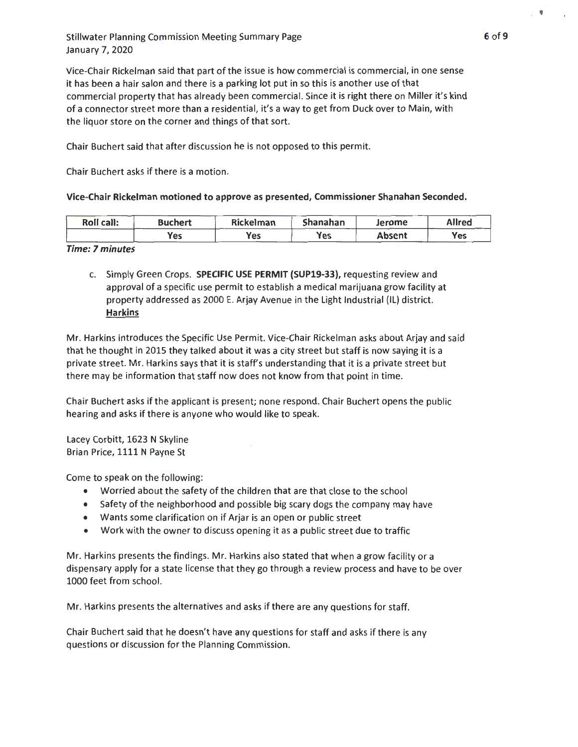Vice-Chair Rickelman said that part of the issue is how commercial is commercial, in one sense it has been a hair salon and there is a parking lot put in so this is another use of that commercial property that has already been commercial. Since it is right there on Miller it's kind of a connector street more than a residential, it's a way to get from Duck over to Main, with the liquor store on the corner and things of that sort.

Chair Buchert said that after discussion he is not opposed to this permit.

Chair Buchert asks if there is a motion.

Vice-Chair Rickelman motioned to approve as presented, Commissioner Shanahan Seconded.

| Roll call: | <b>Buchert</b> | Rickelman  | Shanahan | Jerome | <b>Allred</b> |
|------------|----------------|------------|----------|--------|---------------|
|            | Yes            | <b>Yes</b> | Yes      | Absent | Vac<br>.      |

## *Time:* 7 *minutes*

c. Simply Green Crops. SPECIFIC USE PERMIT (SUP19-33), requesting review and approval of a specific use permit to establish a medical marijuana grow facility at property addressed as 2000 E. Arjay Avenue in the Light Industrial (IL) district. Harkins

Mr. Harkins introduces the Specific Use Permit. Vice-Chair Rickelman asks about Arjay and said that he thought in 2015 they talked about it was a city street but staff is now saying it is a private street. Mr. Harkins says that it is staff's understanding that it is a private street but there may be information that staff now does not know from that point in time.

Chair Buchert asks if the applicant is present; none respond. Chair Buchert opens the public hearing and asks if there is anyone who would like to speak.

Lacey Corbitt, 1623 N Skyline Brian Price, 1111 N Payne St

Come to speak on the following:

- Worried about the safety of the children that are that close to the school
- Safety of the neighborhood and possible big scary dogs the company may have
- Wants some clarification on if Arjar is an open or public street
- Work with the owner to discuss opening it as a public street due to traffic

Mr. Harkins presents the findings. Mr. Harkins also stated that when a grow facility or a dispensary apply for a state license that they go through a review process and have to be over 1000 feet from school.

Mr. Harkins presents the alternatives and asks if there are any questions for staff.

Chair Buchert said that he doesn't have any questions for staff and asks if there is any questions or discussion for the Planning Commission.

 $\cdot$  '  $\cdot$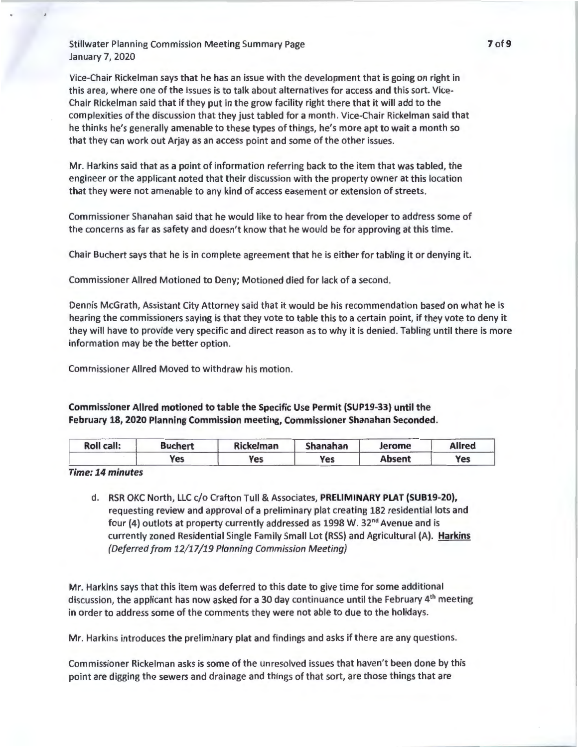Vice-Chair Rickelman says that he has an issue with the development that is going on right in this area, where one of the issues is to talk about alternatives for access and this sort. Vice-Chair Rickelman said that if they put in the grow facility right there that it will add to the complexities of the discussion that they just tabled for a month. Vice-Chair Rickelman said that he thinks he's generally amenable to these types of things, he's more apt to wait a month so that they can work out Arjay as an access point and some of the other issues.

Mr. Harkins said that as a point of information referring back to the item that was tabled, the engineer or the applicant noted that their discussion with the property owner at this location that they were not amenable to any kind of access easement or extension of streets.

Commissioner Shanahan said that he would like to hear from the developer to address some of the concerns as far as safety and doesn't know that he would be for approving at this time.

Chair Buchert says that he is in complete agreement that he is either for tabling it or denying it.

Commissioner Allred Motioned to Deny; Motioned died for lack of a second.

Dennis McGrath, Assistant City Attorney said that it would be his recommendation based on what he is hearing the commissioners saying is that they vote to table this to a certain point, if they vote to deny it they will have to provide very specific and direct reason as to why it is denied. Tabling until there is more information may be the better option.

Commissioner Allred Moved to withdraw his motion.

Commissioner Allred motioned to table the Specific Use Permit (SUP19-33) until the February 18, 2020 Planning Commission meeting, Commissioner Shanahan Seconded.

| <b>Roll call:</b> | <b>Buchert</b> | <b>Rickelman</b> | Shanahan | Jerome        | <b>Allred</b> |
|-------------------|----------------|------------------|----------|---------------|---------------|
|                   | Yes            | Yes              | Yes      | <b>Absent</b> | Yes           |

*Time: 14 minutes* 

d. RSR OKC North, LLC c/o Crafton Tull & Associates, PRELIMINARY PLAT (SUB19-20), requesting review and approval of a preliminary plat creating 182 residential lots and four (4) outlots at property currently addressed as 1998 W. 32<sup>nd</sup> Avenue and is currently zoned Residential Single Family Small Lot (RSS) and Agricultural (A). Harkins *(Deferred from 12/17 /19 Planning Commission Meeting)* 

Mr. Harkins says that this item was deferred to this date to give time for some additional discussion, the applicant has now asked for a 30 day continuance until the February 4<sup>th</sup> meeting in order to address some of the comments they were not able to due to the holidays.

Mr. Harkins introduces the preliminary plat and findings and asks if there are any questions.

Commissioner Rickelman asks is some of the unresolved issues that haven't been done by this point are digging the sewers and drainage and things of that sort, are those things that are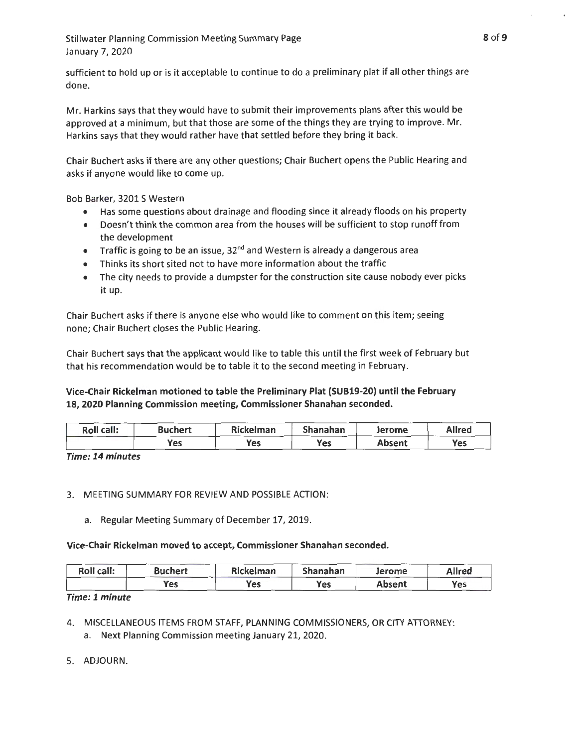sufficient to hold up or is it acceptable to continue to do a preliminary plat if all other things are done.

Mr. Harkins says that they would have to submit their improvements plans after this would be approved at a minimum, but that those are some of the things they are trying to improve. Mr. Harkins says that they would rather have that settled before they bring it back.

Chair Buchert asks if there are any other questions; Chair Buchert opens the Public Hearing and asks if anyone would like to come up.

Bob Barker, 3201 S Western

- Has some questions about drainage and flooding since it already floods on his property
- Doesn't think the common area from the houses will be sufficient to stop runoff from the development
- Traffic is going to be an issue,  $32<sup>nd</sup>$  and Western is already a dangerous area
- Thinks its short sited not to have more information about the traffic
- The city needs to provide a dumpster for the construction site cause nobody ever picks it up.

Chair Buchert asks if there is anyone else who would like to comment on this item; seeing none; Chair Buchert closes the Public Hearing.

Chair Buchert says that the applicant would like to table this until the first week of February but that his recommendation would be to table it to the second meeting in February.

## **Vice-Chair Rickelman motioned to table the Preliminary Plat (SUB19-20) until the February 18, 2020 Planning Commission meeting, Commissioner Shanahan seconded.**

| Roll call: | <b>Buchert</b> | Rickelman | Shanahan | Jerome        | <b>Allred</b> |
|------------|----------------|-----------|----------|---------------|---------------|
|            | <b>Yes</b>     | Yes       | Yes      | <b>Absent</b> | <b>Yes</b>    |

**Time: 14 minutes** 

## 3. MEETING SUMMARY FOR REVIEW AND POSSIBLE ACTION:

a. Regular Meeting Summary of December 17, 2019.

**Vice-Chair Rickelman moved to accept, Commissioner Shanahan seconded.** 

| Roll call: | <b>Buchert</b> | Rickelman | Shanahan | Jerome | Allred     |
|------------|----------------|-----------|----------|--------|------------|
|            | Yes            | Yes       | Yes      | Absent | <b>Yes</b> |

# **Time: 1 minute**

- 4. MISCELLANEOUS ITEMS FROM STAFF, PLANNING COMMISSIONERS, OR CITY ATIORNEY: a. Next Planning Commission meeting January 21, 2020.
- 5. ADJOURN.